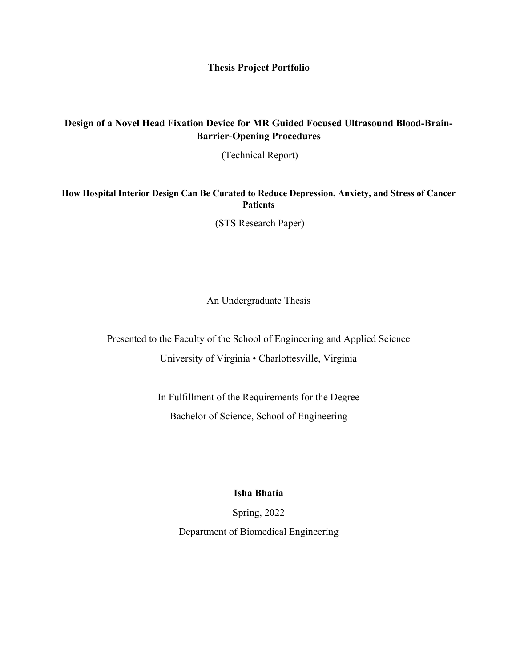**Thesis Project Portfolio**

## **Design of a Novel Head Fixation Device for MR Guided Focused Ultrasound Blood-Brain-Barrier-Opening Procedures**

(Technical Report)

**How Hospital Interior Design Can Be Curated to Reduce Depression, Anxiety, and Stress of Cancer Patients**

(STS Research Paper)

An Undergraduate Thesis

Presented to the Faculty of the School of Engineering and Applied Science University of Virginia • Charlottesville, Virginia

> In Fulfillment of the Requirements for the Degree Bachelor of Science, School of Engineering

> > **Isha Bhatia**

Spring, 2022

Department of Biomedical Engineering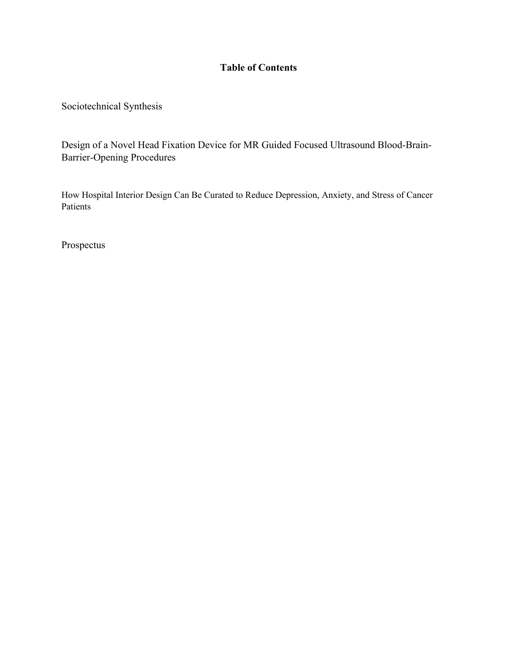## **Table of Contents**

Sociotechnical Synthesis

Design of a Novel Head Fixation Device for MR Guided Focused Ultrasound Blood-Brain-Barrier-Opening Procedures

How Hospital Interior Design Can Be Curated to Reduce Depression, Anxiety, and Stress of Cancer Patients

Prospectus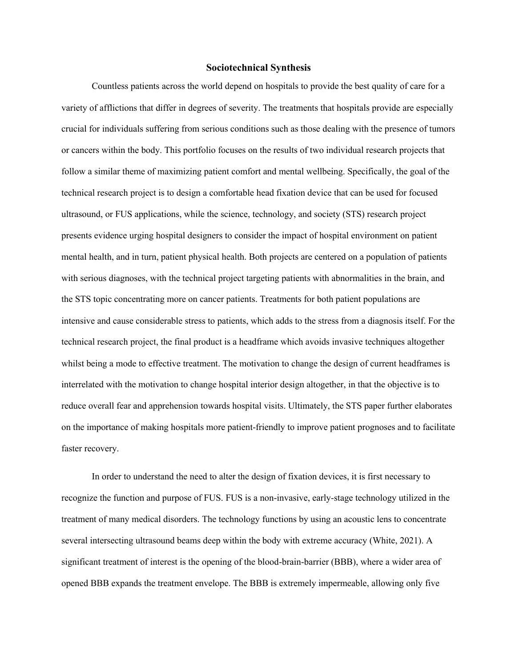## **Sociotechnical Synthesis**

Countless patients across the world depend on hospitals to provide the best quality of care for a variety of afflictions that differ in degrees of severity. The treatments that hospitals provide are especially crucial for individuals suffering from serious conditions such as those dealing with the presence of tumors or cancers within the body. This portfolio focuses on the results of two individual research projects that follow a similar theme of maximizing patient comfort and mental wellbeing. Specifically, the goal of the technical research project is to design a comfortable head fixation device that can be used for focused ultrasound, or FUS applications, while the science, technology, and society (STS) research project presents evidence urging hospital designers to consider the impact of hospital environment on patient mental health, and in turn, patient physical health. Both projects are centered on a population of patients with serious diagnoses, with the technical project targeting patients with abnormalities in the brain, and the STS topic concentrating more on cancer patients. Treatments for both patient populations are intensive and cause considerable stress to patients, which adds to the stress from a diagnosis itself. For the technical research project, the final product is a headframe which avoids invasive techniques altogether whilst being a mode to effective treatment. The motivation to change the design of current headframes is interrelated with the motivation to change hospital interior design altogether, in that the objective is to reduce overall fear and apprehension towards hospital visits. Ultimately, the STS paper further elaborates on the importance of making hospitals more patient-friendly to improve patient prognoses and to facilitate faster recovery.

In order to understand the need to alter the design of fixation devices, it is first necessary to recognize the function and purpose of FUS. FUS is a non-invasive, early-stage technology utilized in the treatment of many medical disorders. The technology functions by using an acoustic lens to concentrate several intersecting ultrasound beams deep within the body with extreme accuracy (White, 2021). A significant treatment of interest is the opening of the blood-brain-barrier (BBB), where a wider area of opened BBB expands the treatment envelope. The BBB is extremely impermeable, allowing only five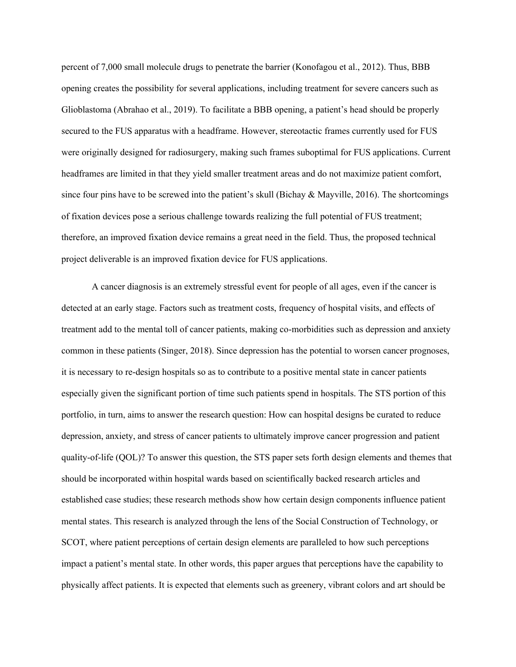percent of 7,000 small molecule drugs to penetrate the barrier (Konofagou et al., 2012). Thus, BBB opening creates the possibility for several applications, including treatment for severe cancers such as Glioblastoma (Abrahao et al., 2019). To facilitate a BBB opening, a patient's head should be properly secured to the FUS apparatus with a headframe. However, stereotactic frames currently used for FUS were originally designed for radiosurgery, making such frames suboptimal for FUS applications. Current headframes are limited in that they yield smaller treatment areas and do not maximize patient comfort, since four pins have to be screwed into the patient's skull (Bichay & Mayville, 2016). The shortcomings of fixation devices pose a serious challenge towards realizing the full potential of FUS treatment; therefore, an improved fixation device remains a great need in the field. Thus, the proposed technical project deliverable is an improved fixation device for FUS applications.

A cancer diagnosis is an extremely stressful event for people of all ages, even if the cancer is detected at an early stage. Factors such as treatment costs, frequency of hospital visits, and effects of treatment add to the mental toll of cancer patients, making co-morbidities such as depression and anxiety common in these patients (Singer, 2018). Since depression has the potential to worsen cancer prognoses, it is necessary to re-design hospitals so as to contribute to a positive mental state in cancer patients especially given the significant portion of time such patients spend in hospitals. The STS portion of this portfolio, in turn, aims to answer the research question: How can hospital designs be curated to reduce depression, anxiety, and stress of cancer patients to ultimately improve cancer progression and patient quality-of-life (QOL)? To answer this question, the STS paper sets forth design elements and themes that should be incorporated within hospital wards based on scientifically backed research articles and established case studies; these research methods show how certain design components influence patient mental states. This research is analyzed through the lens of the Social Construction of Technology, or SCOT, where patient perceptions of certain design elements are paralleled to how such perceptions impact a patient's mental state. In other words, this paper argues that perceptions have the capability to physically affect patients. It is expected that elements such as greenery, vibrant colors and art should be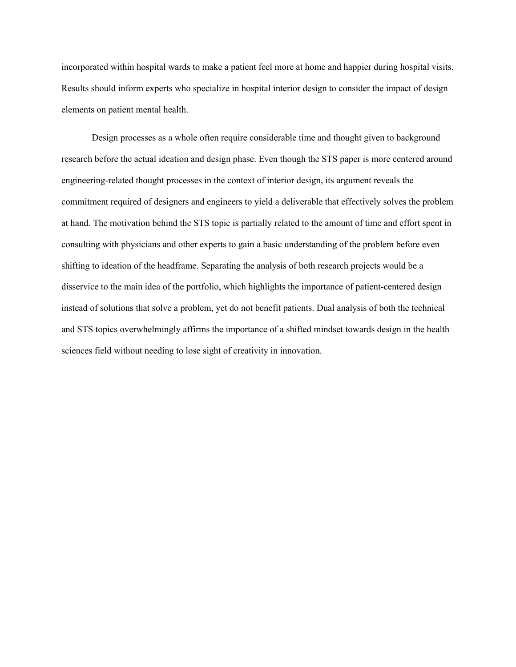incorporated within hospital wards to make a patient feel more at home and happier during hospital visits. Results should inform experts who specialize in hospital interior design to consider the impact of design elements on patient mental health.

Design processes as a whole often require considerable time and thought given to background research before the actual ideation and design phase. Even though the STS paper is more centered around engineering-related thought processes in the context of interior design, its argument reveals the commitment required of designers and engineers to yield a deliverable that effectively solves the problem at hand. The motivation behind the STS topic is partially related to the amount of time and effort spent in consulting with physicians and other experts to gain a basic understanding of the problem before even shifting to ideation of the headframe. Separating the analysis of both research projects would be a disservice to the main idea of the portfolio, which highlights the importance of patient-centered design instead of solutions that solve a problem, yet do not benefit patients. Dual analysis of both the technical and STS topics overwhelmingly affirms the importance of a shifted mindset towards design in the health sciences field without needing to lose sight of creativity in innovation.